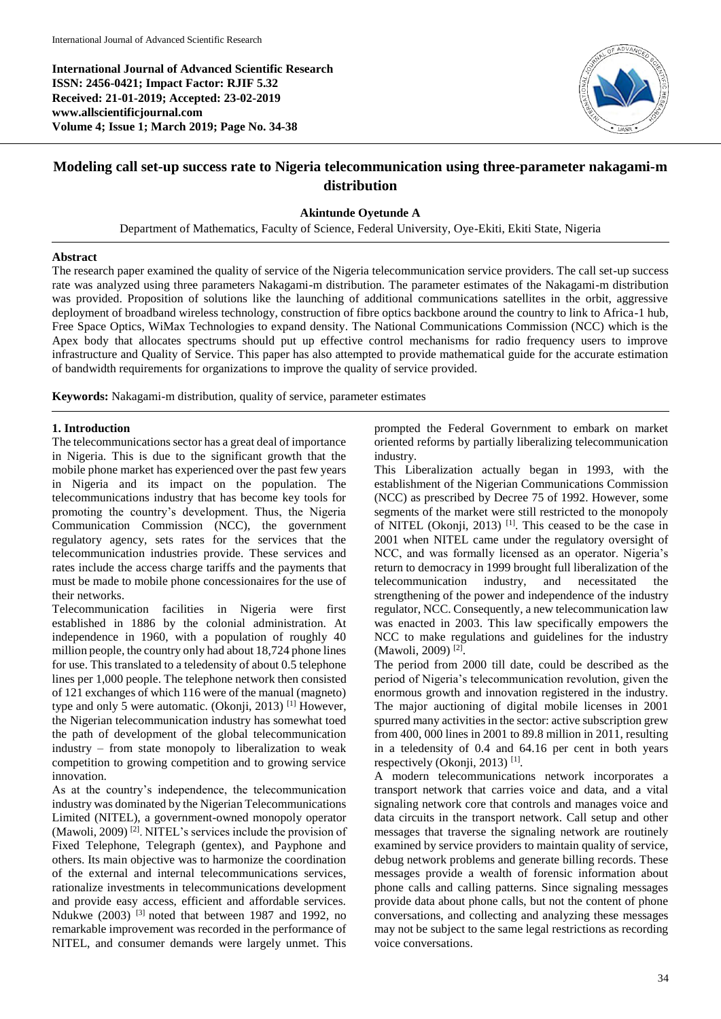**International Journal of Advanced Scientific Research ISSN: 2456-0421; Impact Factor: RJIF 5.32 Received: 21-01-2019; Accepted: 23-02-2019 www.allscientificjournal.com Volume 4; Issue 1; March 2019; Page No. 34-38**



# **Modeling call set-up success rate to Nigeria telecommunication using three-parameter nakagami-m distribution**

#### **Akintunde Oyetunde A**

Department of Mathematics, Faculty of Science, Federal University, Oye-Ekiti, Ekiti State, Nigeria

#### **Abstract**

The research paper examined the quality of service of the Nigeria telecommunication service providers. The call set-up success rate was analyzed using three parameters Nakagami-m distribution. The parameter estimates of the Nakagami-m distribution was provided. Proposition of solutions like the launching of additional communications satellites in the orbit, aggressive deployment of broadband wireless technology, construction of fibre optics backbone around the country to link to Africa-1 hub, Free Space Optics, WiMax Technologies to expand density. The National Communications Commission (NCC) which is the Apex body that allocates spectrums should put up effective control mechanisms for radio frequency users to improve infrastructure and Quality of Service. This paper has also attempted to provide mathematical guide for the accurate estimation of bandwidth requirements for organizations to improve the quality of service provided.

**Keywords:** Nakagami-m distribution, quality of service, parameter estimates

## **1. Introduction**

The telecommunications sector has a great deal of importance in Nigeria. This is due to the significant growth that the mobile phone market has experienced over the past few years in Nigeria and its impact on the population. The telecommunications industry that has become key tools for promoting the country's development. Thus, the Nigeria Communication Commission (NCC), the government regulatory agency, sets rates for the services that the telecommunication industries provide. These services and rates include the access charge tariffs and the payments that must be made to mobile phone concessionaires for the use of their networks.

Telecommunication facilities in Nigeria were first established in 1886 by the colonial administration. At independence in 1960, with a population of roughly 40 million people, the country only had about 18,724 phone lines for use. This translated to a teledensity of about 0.5 telephone lines per 1,000 people. The telephone network then consisted of 121 exchanges of which 116 were of the manual (magneto) type and only 5 were automatic. (Okonji, 2013) <sup>[1]</sup> However, the Nigerian telecommunication industry has somewhat toed the path of development of the global telecommunication industry – from state monopoly to liberalization to weak competition to growing competition and to growing service innovation.

As at the country's independence, the telecommunication industry was dominated by the Nigerian Telecommunications Limited (NITEL), a government-owned monopoly operator (Mawoli, 2009) [2]. NITEL's services include the provision of Fixed Telephone, Telegraph (gentex), and Payphone and others. Its main objective was to harmonize the coordination of the external and internal telecommunications services, rationalize investments in telecommunications development and provide easy access, efficient and affordable services. Ndukwe (2003) [3] noted that between 1987 and 1992, no remarkable improvement was recorded in the performance of NITEL, and consumer demands were largely unmet. This

prompted the Federal Government to embark on market oriented reforms by partially liberalizing telecommunication industry.

This Liberalization actually began in 1993, with the establishment of the Nigerian Communications Commission (NCC) as prescribed by Decree 75 of 1992. However, some segments of the market were still restricted to the monopoly of NITEL (Okonji, 2013)  $^{[1]}$ . This ceased to be the case in 2001 when NITEL came under the regulatory oversight of NCC, and was formally licensed as an operator. Nigeria's return to democracy in 1999 brought full liberalization of the telecommunication industry, and necessitated the strengthening of the power and independence of the industry regulator, NCC. Consequently, a new telecommunication law was enacted in 2003. This law specifically empowers the NCC to make regulations and guidelines for the industry (Mawoli, 2009) [2] .

The period from 2000 till date, could be described as the period of Nigeria's telecommunication revolution, given the enormous growth and innovation registered in the industry. The major auctioning of digital mobile licenses in 2001 spurred many activities in the sector: active subscription grew from 400, 000 lines in 2001 to 89.8 million in 2011, resulting in a teledensity of 0.4 and 64.16 per cent in both years respectively (Okonji, 2013)<sup>[1]</sup>.

A modern telecommunications network incorporates a transport network that carries voice and data, and a vital signaling network core that controls and manages voice and data circuits in the transport network. Call setup and other messages that traverse the signaling network are routinely examined by service providers to maintain quality of service, debug network problems and generate billing records. These messages provide a wealth of forensic information about phone calls and calling patterns. Since signaling messages provide data about phone calls, but not the content of phone conversations, and collecting and analyzing these messages may not be subject to the same legal restrictions as recording voice conversations.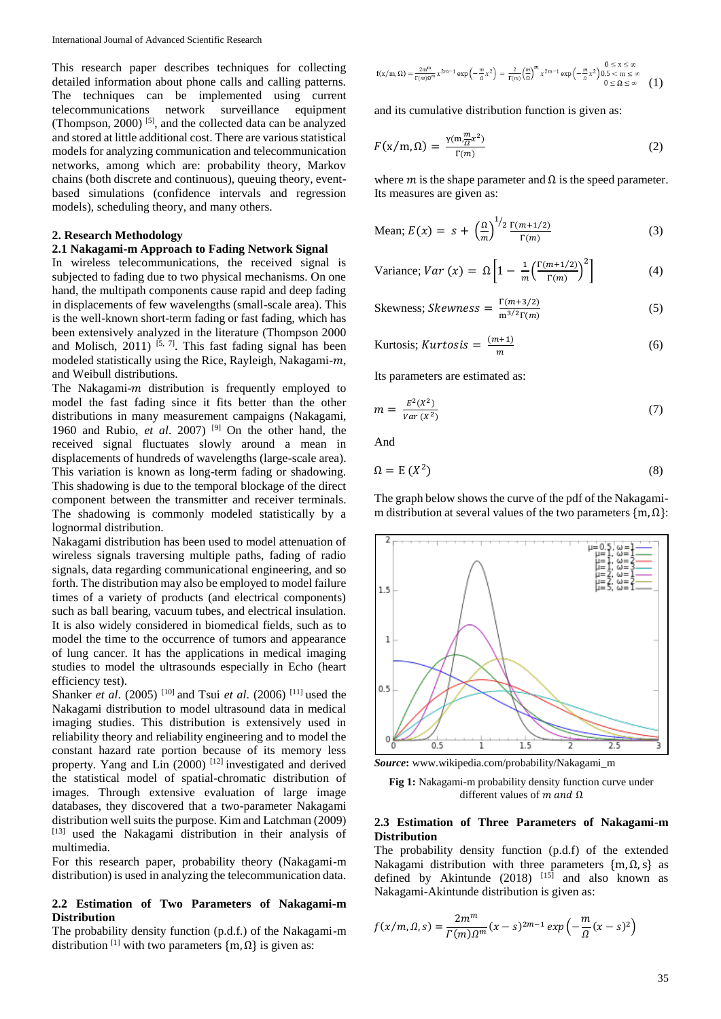This research paper describes techniques for collecting detailed information about phone calls and calling patterns. The techniques can be implemented using current telecommunications network surveillance equipment telecommunications network surveillance (Thompson, 2000) [5], and the collected data can be analyzed and stored at little additional cost. There are various statistical models for analyzing communication and telecommunication networks, among which are: probability theory, Markov chains (both discrete and continuous), queuing theory, eventbased simulations (confidence intervals and regression models), scheduling theory, and many others.

## **2. Research Methodology**

### **2.1 Nakagami-m Approach to Fading Network Signal**

In wireless telecommunications, the received signal is subjected to fading due to two physical mechanisms. On one hand, the multipath components cause rapid and deep fading in displacements of few wavelengths (small-scale area). This is the well-known short-term fading or fast fading, which has been extensively analyzed in the literature (Thompson 2000 and Molisch, 2011)  $[5, 7]$ . This fast fading signal has been modeled statistically using the Rice, Rayleigh, Nakagami- $m$ , and Weibull distributions.

The Nakagami- $m$  distribution is frequently employed to model the fast fading since it fits better than the other distributions in many measurement campaigns (Nakagami, 1960 and Rubio, *et al*. 2007) [9] On the other hand, the received signal fluctuates slowly around a mean in displacements of hundreds of wavelengths (large-scale area). This variation is known as long-term fading or shadowing. This shadowing is due to the temporal blockage of the direct component between the transmitter and receiver terminals. The shadowing is commonly modeled statistically by a lognormal distribution.

Nakagami distribution has been used to model attenuation of wireless signals traversing multiple paths, fading of radio signals, data regarding communicational engineering, and so forth. The distribution may also be employed to model failure times of a variety of products (and electrical components) such as ball bearing, vacuum tubes, and electrical insulation. It is also widely considered in biomedical fields, such as to model the time to the occurrence of tumors and appearance of lung cancer. It has the applications in medical imaging studies to model the ultrasounds especially in Echo (heart efficiency test).

Shanker *et al*. (2005) [10] and Tsui *et al*. (2006) [11] used the Nakagami distribution to model ultrasound data in medical imaging studies. This distribution is extensively used in reliability theory and reliability engineering and to model the constant hazard rate portion because of its memory less property. Yang and Lin (2000) <sup>[12]</sup> investigated and derived the statistical model of spatial-chromatic distribution of images. Through extensive evaluation of large image databases, they discovered that a two-parameter Nakagami distribution well suits the purpose. Kim and Latchman (2009) [13] used the Nakagami distribution in their analysis of multimedia.

For this research paper, probability theory (Nakagami-m distribution) is used in analyzing the telecommunication data.

### **2.2 Estimation of Two Parameters of Nakagami-m Distribution**

The probability density function (p.d.f.) of the Nakagami-m distribution  $[1]$  with two parameters  $\{m, \Omega\}$  is given as:

$$
f(x/m,\Omega) = \frac{2m^m}{\Gamma(m)\Omega^m} x^{2m-1} \exp\left(-\frac{m}{\rho} x^2\right) = \frac{2}{\Gamma(m)} \left(\frac{m}{\Omega}\right)^m x^{2m-1} \exp\left(-\frac{m}{\rho} x^2\right) \begin{array}{l} 0 \le x \le \infty \\ 0 \le x \le \infty \\ 0 \le \Omega \le \infty \end{array} (1)
$$

and its cumulative distribution function is given as:

$$
F(x/m,\Omega) = \frac{\gamma(m\frac{m}{\Omega}x^2)}{\Gamma(m)}
$$
 (2)

where  $m$  is the shape parameter and  $\Omega$  is the speed parameter. Its measures are given as:

Mean; 
$$
E(x) = s + \left(\frac{\Omega}{m}\right)^{1/2} \frac{\Gamma(m+1/2)}{\Gamma(m)}
$$
 (3)

Variance; 
$$
Var(x) = \Omega \left[ 1 - \frac{1}{m} \left( \frac{\Gamma(m+1/2)}{\Gamma(m)} \right)^2 \right]
$$
 (4)

Skewness; Skewness =  $\frac{\Gamma(m+3/2)}{m^{3/2}\Gamma(m)}$  $m^{3/2}Γ(m)$ (5)

Kurtosis; *Kurtosis* = 
$$
\frac{(m+1)}{m}
$$
 (6)

Its parameters are estimated as:

$$
m = \frac{E^2(X^2)}{Var(X^2)}\tag{7}
$$

And

$$
\Omega = E(X^2) \tag{8}
$$

The graph below shows the curve of the pdf of the Nakagamim distribution at several values of the two parameters  ${m, \Omega}$ :



*Source***:** www.wikipedia.com/probability/Nakagami\_m



#### **2.3 Estimation of Three Parameters of Nakagami-m Distribution**

The probability density function (p.d.f) of the extended Nakagami distribution with three parameters {m,Ω, s} as defined by Akintunde  $(2018)$  <sup>[15]</sup> and also known as Nakagami-Akintunde distribution is given as:

$$
f(x/m, \Omega, s) = \frac{2m^m}{\Gamma(m)\Omega^m}(x-s)^{2m-1} \exp\left(-\frac{m}{\Omega}(x-s)^2\right)
$$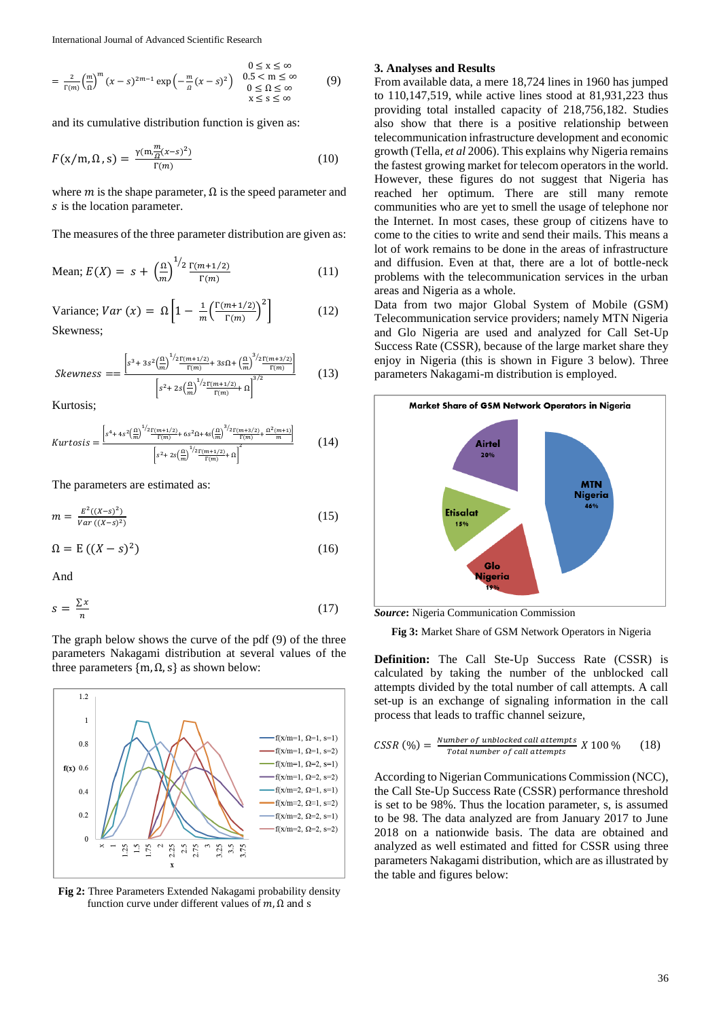International Journal of Advanced Scientific Research

$$
0 \le x \le \infty
$$
  
=  $\frac{2}{\Gamma(m)} \left(\frac{m}{\Omega}\right)^m (x - s)^{2m-1} \exp\left(-\frac{m}{\Omega}(x - s)^2\right)$   $\begin{array}{c} 0.5 < m \le \infty \\ 0.5 < m \le \infty \\ 0 \le \Omega \le \infty \\ x \le s \le \infty \end{array}$  (9)

and its cumulative distribution function is given as:

$$
F(x/m, \Omega, s) = \frac{\gamma(m \frac{m}{\Omega}(x-s)^2)}{\Gamma(m)}
$$
(10)

where  $m$  is the shape parameter,  $\Omega$  is the speed parameter and s is the location parameter.

The measures of the three parameter distribution are given as:

Mean; 
$$
E(X) = s + \left(\frac{\Omega}{m}\right)^{1/2} \frac{\Gamma(m+1/2)}{\Gamma(m)}
$$
 (11)

Variance; 
$$
Var(x) = \Omega \left[ 1 - \frac{1}{m} \left( \frac{\Gamma(m+1/2)}{\Gamma(m)} \right)^2 \right]
$$
 (12)  
Skewness;

$$
Skewness = \frac{\left[s^3 + 3s^2 \left(\frac{\Omega}{m}\right)^{1/2} \frac{\Gamma(m+1/2)}{\Gamma(m)} + 3s\Omega + \left(\frac{\Omega}{m}\right)^{3/2} \frac{\Gamma(m+3/2)}{\Gamma(m)}\right]}{\left[s^2 + 2s\left(\frac{\Omega}{m}\right)^{1/2} \frac{\Gamma(m+1/2)}{\Gamma(m)} + \Omega\right]^{3/2}}
$$
(13)

Kurtosis;

$$
Kurtosis = \frac{\left[s^4 + 4s^2 \left(\frac{\Omega}{m}\right)^{1/2} \frac{\Gamma(m+1/2)}{\Gamma(m)} + 6s^2 \Omega + 4s \left(\frac{\Omega}{m}\right)^{3/2} \frac{\Gamma(m+3/2)}{\Gamma(m)} + \frac{\Omega^2(m+1)}{m}\right]}{\left[s^2 + 2s \left(\frac{\Omega}{m}\right)^{1/2} \frac{\Gamma(m+1/2)}{\Gamma(m)} + \Omega\right]^2}
$$
(14)

The parameters are estimated as:

$$
m = \frac{E^2((X-s)^2)}{Var((X-s)^2)}
$$
(15)

$$
\Omega = E((X - s)^2) \tag{16}
$$

And

$$
s = \frac{\sum x}{n} \tag{17}
$$

The graph below shows the curve of the pdf (9) of the three parameters Nakagami distribution at several values of the three parameters  ${m, \Omega, s}$  as shown below:



**Fig 2:** Three Parameters Extended Nakagami probability density function curve under different values of  $m$ , Ω and s

### **3. Analyses and Results**

From available data, a mere 18,724 lines in 1960 has jumped to 110,147,519, while active lines stood at 81,931,223 thus providing total installed capacity of 218,756,182. Studies also show that there is a positive relationship between telecommunication infrastructure development and economic growth (Tella, *et al* 2006). This explains why Nigeria remains the fastest growing market for telecom operators in the world. However, these figures do not suggest that Nigeria has reached her optimum. There are still many remote communities who are yet to smell the usage of telephone nor the Internet. In most cases, these group of citizens have to come to the cities to write and send their mails. This means a lot of work remains to be done in the areas of infrastructure and diffusion. Even at that, there are a lot of bottle-neck problems with the telecommunication services in the urban areas and Nigeria as a whole.

Data from two major Global System of Mobile (GSM) Telecommunication service providers; namely MTN Nigeria and Glo Nigeria are used and analyzed for Call Set-Up Success Rate (CSSR), because of the large market share they enjoy in Nigeria (this is shown in Figure 3 below). Three parameters Nakagami-m distribution is employed.



*Source***:** Nigeria Communication Commission

**Fig 3:** Market Share of GSM Network Operators in Nigeria

**Definition:** The Call Ste-Up Success Rate (CSSR) is calculated by taking the number of the unblocked call attempts divided by the total number of call attempts. A call set-up is an exchange of signaling information in the call process that leads to traffic channel seizure,

$$
CSSR \text{ } (\%) = \frac{Number \text{ } of \text{ } unblocked \text{ } call \text{ } attempts}{Total \text{ } number \text{ } of \text{ } call \text{ } attempts} \text{ } X \text{ } 100 \text{ } \%
$$
 (18)

According to Nigerian Communications Commission (NCC), the Call Ste-Up Success Rate (CSSR) performance threshold is set to be 98%. Thus the location parameter, s, is assumed to be 98. The data analyzed are from January 2017 to June 2018 on a nationwide basis. The data are obtained and analyzed as well estimated and fitted for CSSR using three parameters Nakagami distribution, which are as illustrated by the table and figures below: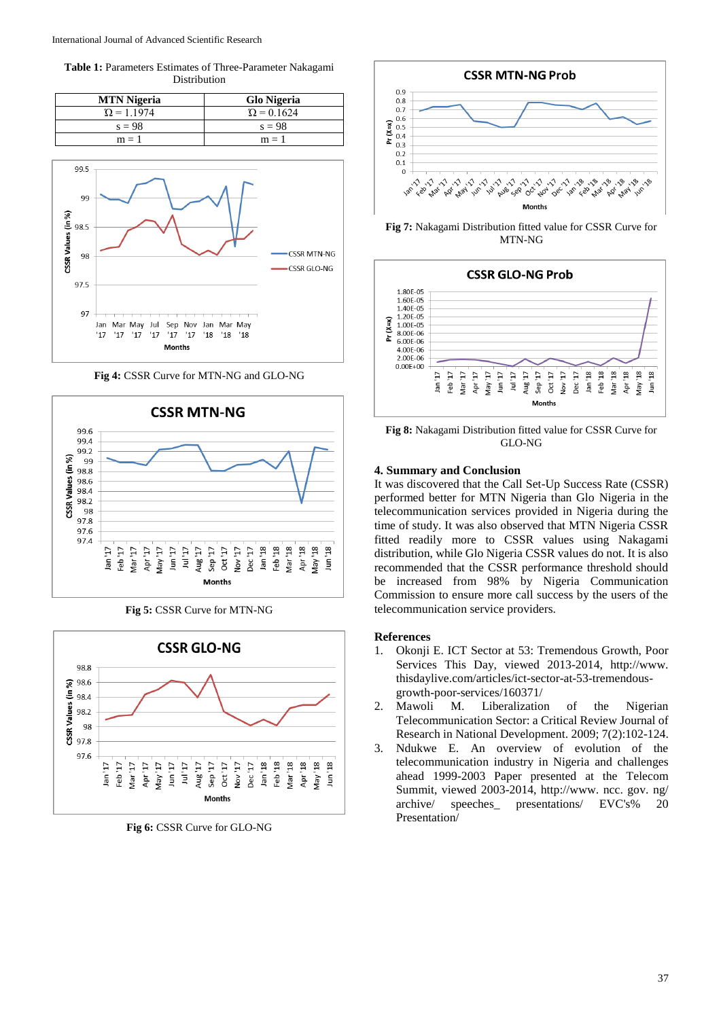**Table 1:** Parameters Estimates of Three-Parameter Nakagami Distribution

| <b>MTN</b> Nigeria | <b>Glo Nigeria</b> |
|--------------------|--------------------|
| $\Omega = 1.1974$  | $\Omega = 0.1624$  |
| $s = 98$           | $s = 98$           |
| $m = 1$            | $m = 1$            |



**Fig 4:** CSSR Curve for MTN-NG and GLO-NG



**Fig 5:** CSSR Curve for MTN-NG



**Fig 6:** CSSR Curve for GLO-NG



**Fig 7:** Nakagami Distribution fitted value for CSSR Curve for MTN-NG



**Fig 8:** Nakagami Distribution fitted value for CSSR Curve for GLO-NG

## **4. Summary and Conclusion**

It was discovered that the Call Set-Up Success Rate (CSSR) performed better for MTN Nigeria than Glo Nigeria in the telecommunication services provided in Nigeria during the time of study. It was also observed that MTN Nigeria CSSR fitted readily more to CSSR values using Nakagami distribution, while Glo Nigeria CSSR values do not. It is also recommended that the CSSR performance threshold should be increased from 98% by Nigeria Communication Commission to ensure more call success by the users of the telecommunication service providers.

#### **References**

- 1. Okonji E. ICT Sector at 53: Tremendous Growth, Poor Services This Day, viewed 2013-2014, http://www. thisdaylive.com/articles/ict-sector-at-53-tremendousgrowth-poor-services/160371/
- 2. Mawoli M. Liberalization of the Nigerian Telecommunication Sector: a Critical Review Journal of Research in National Development. 2009; 7(2):102-124.
- 3. Ndukwe E. An overview of evolution of the telecommunication industry in Nigeria and challenges ahead 1999-2003 Paper presented at the Telecom Summit, viewed 2003-2014, http://www. ncc. gov. ng/ archive/ speeches\_ presentations/ EVC's% 20 Presentation/